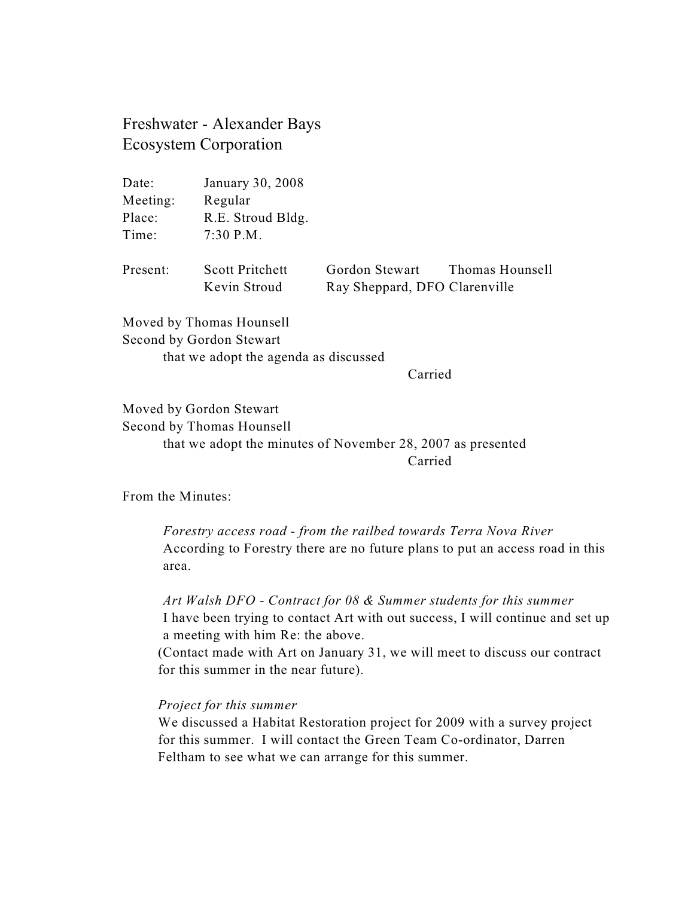Freshwater - Alexander Bays Ecosystem Corporation

| Date:    | January 30, 2008                       |                                                 |                 |
|----------|----------------------------------------|-------------------------------------------------|-----------------|
| Meeting: | Regular                                |                                                 |                 |
| Place:   | R.E. Stroud Bldg.                      |                                                 |                 |
| Time:    | $7:30$ P.M.                            |                                                 |                 |
| Present: | <b>Scott Pritchett</b><br>Kevin Stroud | Gordon Stewart<br>Ray Sheppard, DFO Clarenville | Thomas Hounsell |
|          | Moved by Thomas Hounsell               |                                                 |                 |

Second by Gordon Stewart that we adopt the agenda as discussed

Carried

Moved by Gordon Stewart Second by Thomas Hounsell that we adopt the minutes of November 28, 2007 as presented Carried

From the Minutes:

*Forestry access road - from the railbed towards Terra Nova River*  According to Forestry there are no future plans to put an access road in this area.

*Art Walsh DFO - Contract for 08 & Summer students for this summer* I have been trying to contact Art with out success, I will continue and set up a meeting with him Re: the above.

(Contact made with Art on January 31, we will meet to discuss our contract for this summer in the near future).

## *Project for this summer*

We discussed a Habitat Restoration project for 2009 with a survey project for this summer. I will contact the Green Team Co-ordinator, Darren Feltham to see what we can arrange for this summer.